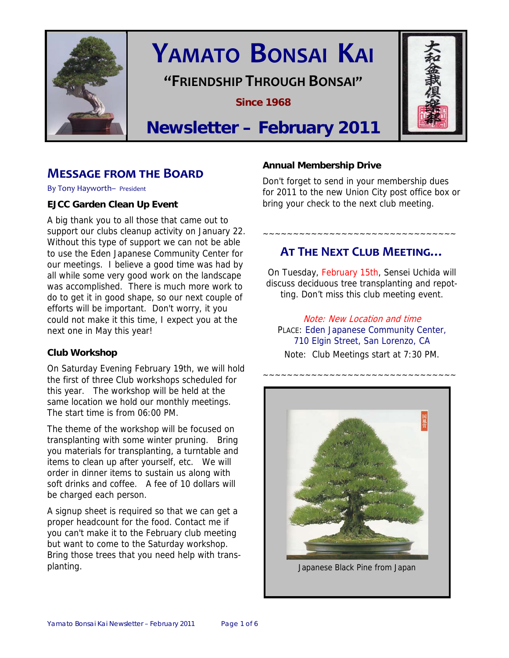

# **YAMATO BONSAI KAI**

**"FRIENDSHIP THROUGH BONSAI"**

**Since 1968** 



## **Newsletter – February 2011**

## **MESSAGE FROM THE BOARD**

By Tony Hayworth– President

#### **EJCC Garden Clean Up Event**

A big thank you to all those that came out to support our clubs cleanup activity on January 22. Without this type of support we can not be able to use the Eden Japanese Community Center for our meetings. I believe a good time was had by all while some very good work on the landscape was accomplished. There is much more work to do to get it in good shape, so our next couple of efforts will be important. Don't worry, it you could not make it this time, I expect you at the next one in May this year!

#### **Club Workshop**

On Saturday Evening February 19th, we will hold the first of three Club workshops scheduled for this year. The workshop will be held at the same location we hold our monthly meetings. The start time is from 06:00 PM.

The theme of the workshop will be focused on transplanting with some winter pruning. Bring you materials for transplanting, a turntable and items to clean up after yourself, etc. We will order in dinner items to sustain us along with soft drinks and coffee. A fee of 10 dollars will be charged each person.

A signup sheet is required so that we can get a proper headcount for the food. Contact me if you can't make it to the February club meeting but want to come to the Saturday workshop. Bring those trees that you need help with transplanting.

#### **Annual Membership Drive**

Don't forget to send in your membership dues for 2011 to the new Union City post office box or bring your check to the next club meeting.

## **AT THE NEXT CLUB MEETING…**

~~~~~~~~~~~~~~~~~~~~~~~~~~~~~~~~

On Tuesday, February 15th, Sensei Uchida will discuss deciduous tree transplanting and repotting. Don't miss this club meeting event.

Note: New Location and time PLACE: Eden Japanese Community Center, 710 Elgin Street, San Lorenzo, CA Note: Club Meetings start at 7:30 PM.

~~~~~~~~~~~~~~~~~~~~~~~~~~~~~~~~



Japanese Black Pine from Japan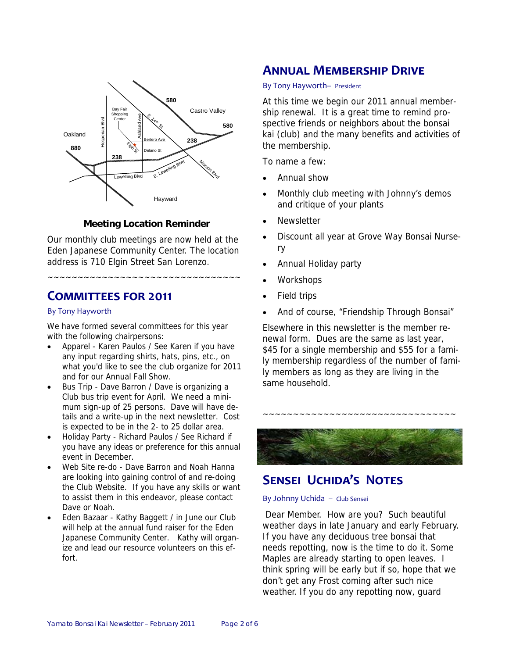

#### **Meeting Location Reminder**

Our monthly club meetings are now held at the Eden Japanese Community Center. The location address is 710 Elgin Street San Lorenzo.

~~~~~~~~~~~~~~~~~~~~~~~~~~~~~~~~

## **COMMITTEES FOR 2011**

#### By Tony Hayworth

We have formed several committees for this year with the following chairpersons:

- Apparel Karen Paulos / See Karen if you have any input regarding shirts, hats, pins, etc., on what you'd like to see the club organize for 2011 and for our Annual Fall Show.
- Bus Trip Dave Barron / Dave is organizing a Club bus trip event for April. We need a minimum sign-up of 25 persons. Dave will have details and a write-up in the next newsletter. Cost is expected to be in the 2- to 25 dollar area.
- Holiday Party Richard Paulos / See Richard if you have any ideas or preference for this annual event in December.
- Web Site re-do Dave Barron and Noah Hanna are looking into gaining control of and re-doing the Club Website. If you have any skills or want to assist them in this endeavor, please contact Dave or Noah.
- Eden Bazaar Kathy Baggett / in June our Club will help at the annual fund raiser for the Eden Japanese Community Center. Kathy will organize and lead our resource volunteers on this effort.

## **ANNUAL MEMBERSHIP DRIVE**

#### By Tony Hayworth– President

At this time we begin our 2011 annual membership renewal. It is a great time to remind prospective friends or neighbors about the bonsai kai (club) and the many benefits and activities of the membership.

To name a few:

- Annual show
- Monthly club meeting with Johnny's demos and critique of your plants
- **Newsletter**
- Discount all year at Grove Way Bonsai Nursery
- Annual Holiday party
- **Workshops**
- Field trips
- And of course, "Friendship Through Bonsai"

Elsewhere in this newsletter is the member renewal form. Dues are the same as last year, \$45 for a single membership and \$55 for a family membership regardless of the number of family members as long as they are living in the same household.



~~~~~~~~~~~~~~~~~~~~~~~~~~~~~~~~

## **SENSEI UCHIDA'S NOTES**

#### By Johnny Uchida – Club Sensei

 Dear Member. How are you? Such beautiful weather days in late January and early February. If you have any deciduous tree bonsai that needs repotting, now is the time to do it. Some Maples are already starting to open leaves. I think spring will be early but if so, hope that we don't get any Frost coming after such nice weather. If you do any repotting now, guard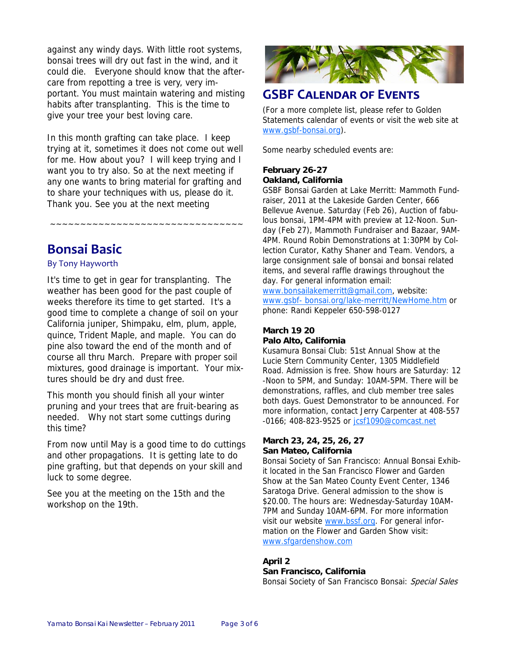against any windy days. With little root systems, bonsai trees will dry out fast in the wind, and it could die. Everyone should know that the aftercare from repotting a tree is very, very important. You must maintain watering and misting habits after transplanting. This is the time to give your tree your best loving care.

In this month grafting can take place. I keep trying at it, sometimes it does not come out well for me. How about you? I will keep trying and I want you to try also. So at the next meeting if any one wants to bring material for grafting and to share your techniques with us, please do it. Thank you. See you at the next meeting

~~~~~~~~~~~~~~~~~~~~~~~~~~~~~~~~

## **Bonsai Basic**

#### By Tony Hayworth

It's time to get in gear for transplanting. The weather has been good for the past couple of weeks therefore its time to get started. It's a good time to complete a change of soil on your California juniper, Shimpaku, elm, plum, apple, quince, Trident Maple, and maple. You can do pine also toward the end of the month and of course all thru March. Prepare with proper soil mixtures, good drainage is important. Your mixtures should be dry and dust free.

This month you should finish all your winter pruning and your trees that are fruit-bearing as needed. Why not start some cuttings during this time?

From now until May is a good time to do cuttings and other propagations. It is getting late to do pine grafting, but that depends on your skill and luck to some degree.

See you at the meeting on the 15th and the workshop on the 19th.



## **GSBF CALENDAR OF EVENTS**

(For a more complete list, please refer to Golden Statements calendar of events or visit the web site at www.gsbf-bonsai.org).

Some nearby scheduled events are:

#### **February 26-27 Oakland, California**

GSBF Bonsai Garden at Lake Merritt: Mammoth Fundraiser, 2011 at the Lakeside Garden Center, 666 Bellevue Avenue. Saturday (Feb 26), Auction of fabulous bonsai, 1PM-4PM with preview at 12-Noon. Sunday (Feb 27), Mammoth Fundraiser and Bazaar, 9AM-4PM. Round Robin Demonstrations at 1:30PM by Collection Curator, Kathy Shaner and Team. Vendors, a large consignment sale of bonsai and bonsai related items, and several raffle drawings throughout the day. For general information email:

www.bonsailakemerritt@gmail.com, website: www.gsbf- bonsai.org/lake-merritt/NewHome.htm or phone: Randi Keppeler 650-598-0127

#### **March 19 20 Palo Alto, California**

Kusamura Bonsai Club: 51st Annual Show at the Lucie Stern Community Center, 1305 Middlefield Road. Admission is free. Show hours are Saturday: 12 -Noon to 5PM, and Sunday: 10AM-5PM. There will be demonstrations, raffles, and club member tree sales both days. Guest Demonstrator to be announced. For more information, contact Jerry Carpenter at 408-557 -0166; 408-823-9525 or jcsf1090@comcast.net

#### **March 23, 24, 25, 26, 27 San Mateo, California**

Bonsai Society of San Francisco: Annual Bonsai Exhibit located in the San Francisco Flower and Garden Show at the San Mateo County Event Center, 1346 Saratoga Drive. General admission to the show is \$20.00. The hours are: Wednesday-Saturday 10AM-7PM and Sunday 10AM-6PM. For more information visit our website www.bssf.org. For general information on the Flower and Garden Show visit: www.sfgardenshow.com

#### **April 2**

#### **San Francisco, California**

Bonsai Society of San Francisco Bonsai: Special Sales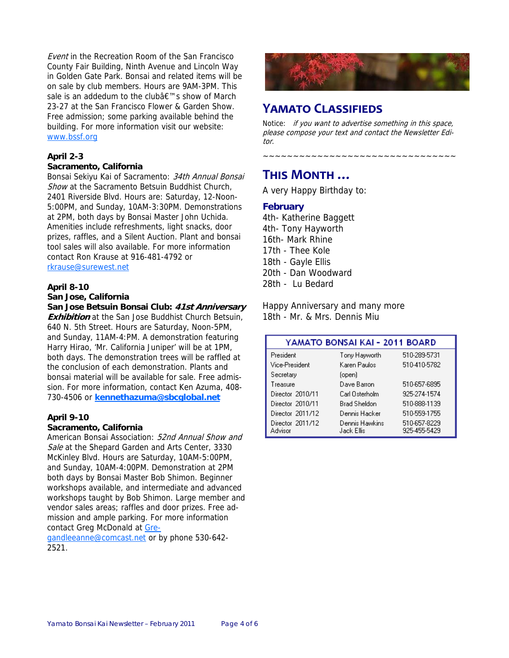Event in the Recreation Room of the San Francisco County Fair Building, Ninth Avenue and Lincoln Way in Golden Gate Park. Bonsai and related items will be on sale by club members. Hours are 9AM-3PM. This sale is an addedum to the club's show of March 23-27 at the San Francisco Flower & Garden Show. Free admission; some parking available behind the building. For more information visit our website: www.bssf.org

#### **April 2-3**

#### **Sacramento, California**

Bonsai Sekiyu Kai of Sacramento: 34th Annual Bonsai Show at the Sacramento Betsuin Buddhist Church, 2401 Riverside Blvd. Hours are: Saturday, 12-Noon-5:00PM, and Sunday, 10AM-3:30PM. Demonstrations at 2PM, both days by Bonsai Master John Uchida. Amenities include refreshments, light snacks, door prizes, raffles, and a Silent Auction. Plant and bonsai tool sales will also available. For more information contact Ron Krause at 916-481-4792 or rkrause@surewest.net

#### **April 8-10 San Jose, California**

**San Jose Betsuin Bonsai Club: 41st Anniversary Exhibition** at the San Jose Buddhist Church Betsuin, 640 N. 5th Street. Hours are Saturday, Noon-5PM, and Sunday, 11AM-4:PM. A demonstration featuring Harry Hirao, 'Mr. California Juniper' will be at 1PM, both days. The demonstration trees will be raffled at the conclusion of each demonstration. Plants and bonsai material will be available for sale. Free admission. For more information, contact Ken Azuma, 408- 730-4506 or **kennethazuma@sbcglobal.net**

#### **April 9-10**

#### **Sacramento, California**

American Bonsai Association: 52nd Annual Show and Sale at the Shepard Garden and Arts Center, 3330 McKinley Blvd. Hours are Saturday, 10AM-5:00PM, and Sunday, 10AM-4:00PM. Demonstration at 2PM both days by Bonsai Master Bob Shimon. Beginner workshops available, and intermediate and advanced workshops taught by Bob Shimon. Large member and vendor sales areas; raffles and door prizes. Free admission and ample parking. For more information contact Greg McDonald at Gre-

gandleeanne@comcast.net or by phone 530-642-2521.



## **YAMATO CLASSIFIEDS**

Notice: if you want to advertise something in this space, please compose your text and contact the Newsletter Editor.

~~~~~~~~~~~~~~~~~~~~~~~~~~~~~~~~

## **THIS MONTH …**

A very Happy Birthday to:

#### **February**

4th- Katherine Baggett 4th- Tony Hayworth 16th- Mark Rhine 17th - Thee Kole 18th - Gayle Ellis 20th - Dan Woodward 28th - Lu Bedard

Happy Anniversary and many more 18th - Mr. & Mrs. Dennis Miu

| YAMATO BONSAI KAI - 2011 BOARD |                              |                              |  |
|--------------------------------|------------------------------|------------------------------|--|
| President                      | Tony Hayworth                | 510-289-5731                 |  |
| Vice-President                 | Karen Paulos                 | 510-410-5782                 |  |
| Secretary                      | (open)                       |                              |  |
| Treasure                       | Dave Barron                  | 510-657-6895                 |  |
| Director 2010/11               | Carl Osterholm               | 925-274-1574                 |  |
| Director 2010/11               | <b>Brad Sheldon</b>          | 510-888-1139                 |  |
| Director 2011/12               | Dennis Hacker                | 510-559-1755                 |  |
| Director 2011/12<br>Advisor    | Dennis Hawkins<br>Jack Ellis | 510-657-8229<br>925-455-5429 |  |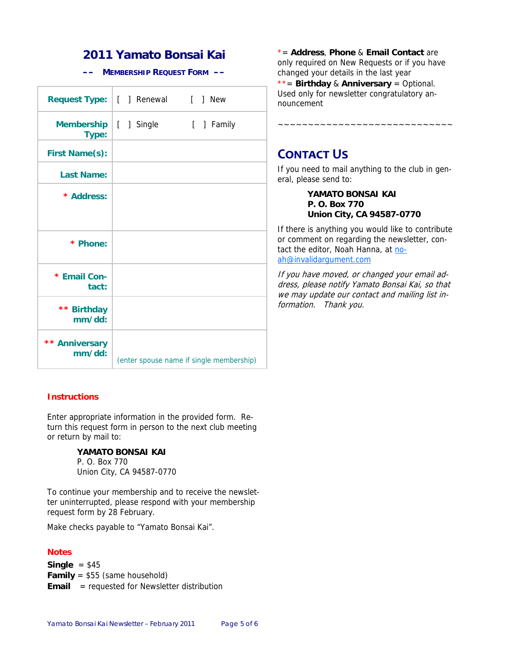## **2011 Yamato Bonsai Kai**

**–– MEMBERSHIP REQUEST FORM ––** 

|                          | Request Type:   [ ] Renewal [ ] New |                                          |
|--------------------------|-------------------------------------|------------------------------------------|
| Membership<br>Type:      | [ ] Single                          | [ ] Family                               |
| <b>First Name(s):</b>    |                                     |                                          |
| <b>Last Name:</b>        |                                     |                                          |
| * Address:               |                                     |                                          |
| * Phone:                 |                                     |                                          |
| * Email Con-<br>tact:    |                                     |                                          |
| ** Birthday<br>mm/dd:    |                                     |                                          |
| ** Anniversary<br>mm/dd: |                                     | (enter spouse name if single membership) |

#### **Instructions**

Enter appropriate information in the provided form. Return this request form in person to the next club meeting or return by mail to:

#### **YAMATO BONSAI KAI**

P. O. Box 770 Union City, CA 94587-0770

To continue your membership and to receive the newsletter uninterrupted, please respond with your membership request form by 28 February.

Make checks payable to "Yamato Bonsai Kai".

#### **Notes**

**Single** = \$45 **Family** = \$55 (same household) **Email** = requested for Newsletter distribution

\*= **Address**, **Phone** & **Email Contact** are only required on New Requests or if you have changed your details in the last year

\*\*= **Birthday** & **Anniversary** = Optional. Used only for newsletter congratulatory announcement

~~~~~~~~~~~~~~~~~~~~~~~~~~

## **CONTACT US**

If you need to mail anything to the club in general, please send to:

> **YAMATO BONSAI KAI P. O. Box 770 Union City, CA 94587-0770**

If there is anything you would like to contribute or comment on regarding the newsletter, contact the editor, Noah Hanna, at noah@invalidargument.com

If you have moved, or changed your email address, please notify Yamato Bonsai Kai, so that we may update our contact and mailing list information. Thank you.